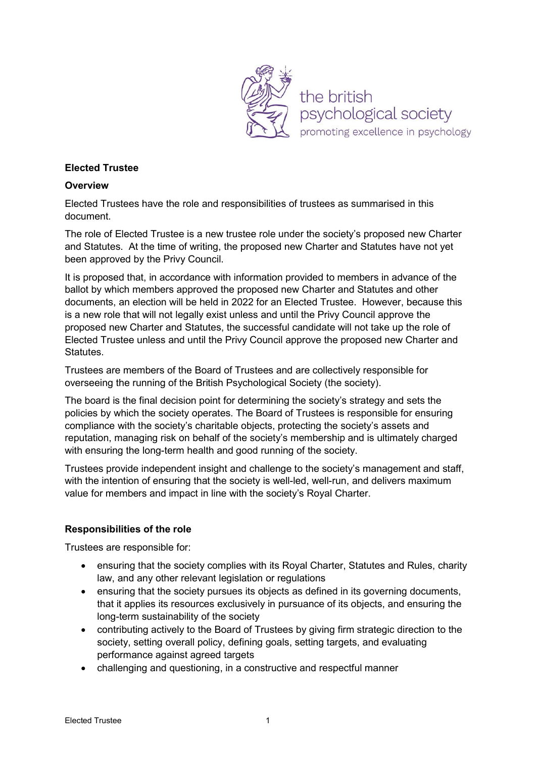

### Elected Trustee

#### **Overview**

Elected Trustees have the role and responsibilities of trustees as summarised in this document.

The role of Elected Trustee is a new trustee role under the society's proposed new Charter and Statutes. At the time of writing, the proposed new Charter and Statutes have not yet been approved by the Privy Council.

It is proposed that, in accordance with information provided to members in advance of the ballot by which members approved the proposed new Charter and Statutes and other documents, an election will be held in 2022 for an Elected Trustee. However, because this is a new role that will not legally exist unless and until the Privy Council approve the proposed new Charter and Statutes, the successful candidate will not take up the role of Elected Trustee unless and until the Privy Council approve the proposed new Charter and Statutes.

Trustees are members of the Board of Trustees and are collectively responsible for overseeing the running of the British Psychological Society (the society).

The board is the final decision point for determining the society's strategy and sets the policies by which the society operates. The Board of Trustees is responsible for ensuring compliance with the society's charitable objects, protecting the society's assets and reputation, managing risk on behalf of the society's membership and is ultimately charged with ensuring the long-term health and good running of the society.

Trustees provide independent insight and challenge to the society's management and staff, with the intention of ensuring that the society is well-led, well-run, and delivers maximum value for members and impact in line with the society's Royal Charter.

#### Responsibilities of the role

Trustees are responsible for:

- ensuring that the society complies with its Royal Charter, Statutes and Rules, charity law, and any other relevant legislation or regulations
- ensuring that the society pursues its objects as defined in its governing documents, that it applies its resources exclusively in pursuance of its objects, and ensuring the long-term sustainability of the society
- contributing actively to the Board of Trustees by giving firm strategic direction to the society, setting overall policy, defining goals, setting targets, and evaluating performance against agreed targets
- challenging and questioning, in a constructive and respectful manner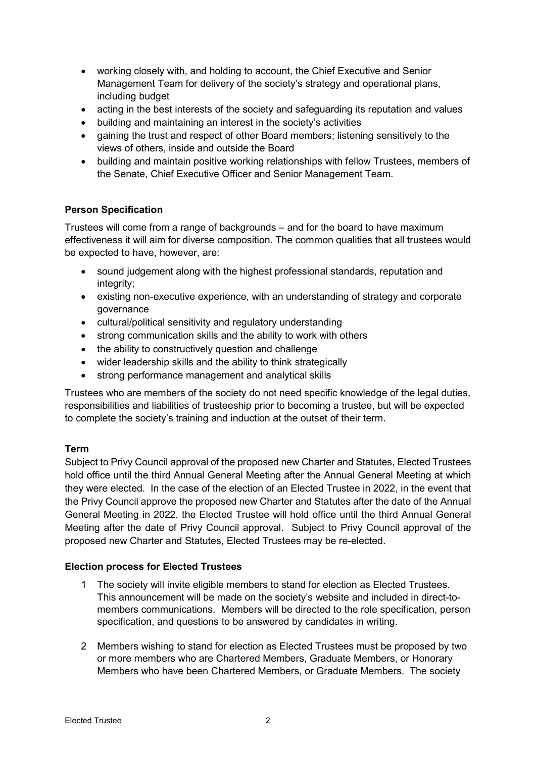- working closely with, and holding to account, the Chief Executive and Senior Management Team for delivery of the society's strategy and operational plans, including budget
- acting in the best interests of the society and safeguarding its reputation and values
- building and maintaining an interest in the society's activities
- gaining the trust and respect of other Board members; listening sensitively to the views of others, inside and outside the Board
- building and maintain positive working relationships with fellow Trustees, members of the Senate, Chief Executive Officer and Senior Management Team.

# Person Specification

Trustees will come from a range of backgrounds – and for the board to have maximum effectiveness it will aim for diverse composition. The common qualities that all trustees would be expected to have, however, are:

- sound judgement along with the highest professional standards, reputation and integrity;
- existing non-executive experience, with an understanding of strategy and corporate governance
- cultural/political sensitivity and regulatory understanding
- strong communication skills and the ability to work with others
- the ability to constructively question and challenge
- wider leadership skills and the ability to think strategically
- strong performance management and analytical skills

Trustees who are members of the society do not need specific knowledge of the legal duties, responsibilities and liabilities of trusteeship prior to becoming a trustee, but will be expected to complete the society's training and induction at the outset of their term.

# Term

Subject to Privy Council approval of the proposed new Charter and Statutes, Elected Trustees hold office until the third Annual General Meeting after the Annual General Meeting at which they were elected. In the case of the election of an Elected Trustee in 2022, in the event that the Privy Council approve the proposed new Charter and Statutes after the date of the Annual General Meeting in 2022, the Elected Trustee will hold office until the third Annual General Meeting after the date of Privy Council approval. Subject to Privy Council approval of the proposed new Charter and Statutes, Elected Trustees may be re-elected.

# Election process for Elected Trustees

- 1 The society will invite eligible members to stand for election as Elected Trustees. This announcement will be made on the society's website and included in direct-tomembers communications. Members will be directed to the role specification, person specification, and questions to be answered by candidates in writing.
- 2 Members wishing to stand for election as Elected Trustees must be proposed by two or more members who are Chartered Members, Graduate Members, or Honorary Members who have been Chartered Members, or Graduate Members. The society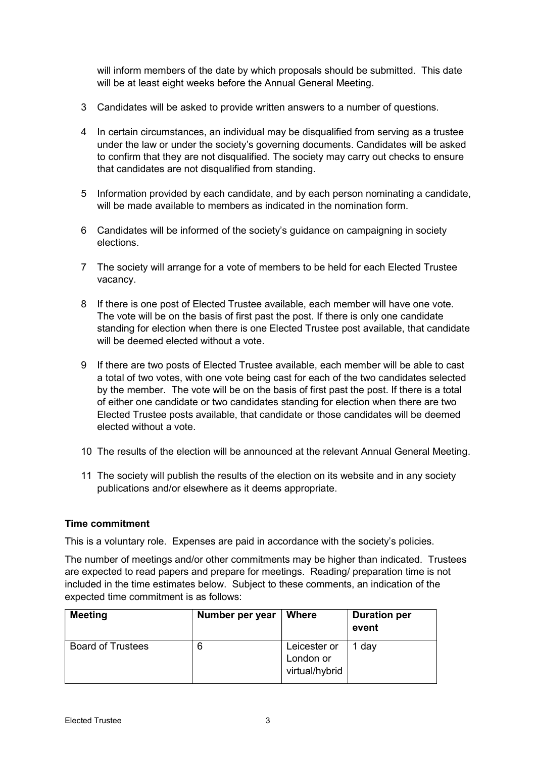will inform members of the date by which proposals should be submitted. This date will be at least eight weeks before the Annual General Meeting.

- 3 Candidates will be asked to provide written answers to a number of questions.
- 4 In certain circumstances, an individual may be disqualified from serving as a trustee under the law or under the society's governing documents. Candidates will be asked to confirm that they are not disqualified. The society may carry out checks to ensure that candidates are not disqualified from standing.
- 5 Information provided by each candidate, and by each person nominating a candidate, will be made available to members as indicated in the nomination form.
- 6 Candidates will be informed of the society's guidance on campaigning in society elections.
- 7 The society will arrange for a vote of members to be held for each Elected Trustee vacancy.
- 8 If there is one post of Elected Trustee available, each member will have one vote. The vote will be on the basis of first past the post. If there is only one candidate standing for election when there is one Elected Trustee post available, that candidate will be deemed elected without a vote.
- 9 If there are two posts of Elected Trustee available, each member will be able to cast a total of two votes, with one vote being cast for each of the two candidates selected by the member. The vote will be on the basis of first past the post. If there is a total of either one candidate or two candidates standing for election when there are two Elected Trustee posts available, that candidate or those candidates will be deemed elected without a vote.
- 10 The results of the election will be announced at the relevant Annual General Meeting.
- 11 The society will publish the results of the election on its website and in any society publications and/or elsewhere as it deems appropriate.

#### Time commitment

This is a voluntary role. Expenses are paid in accordance with the society's policies.

The number of meetings and/or other commitments may be higher than indicated. Trustees are expected to read papers and prepare for meetings. Reading/ preparation time is not included in the time estimates below. Subject to these comments, an indication of the expected time commitment is as follows:

| <b>Meeting</b>           | Number per year | <b>Where</b>                                | <b>Duration per</b><br>event |
|--------------------------|-----------------|---------------------------------------------|------------------------------|
| <b>Board of Trustees</b> |                 | Leicester or<br>London or<br>virtual/hybrid | 1 day                        |